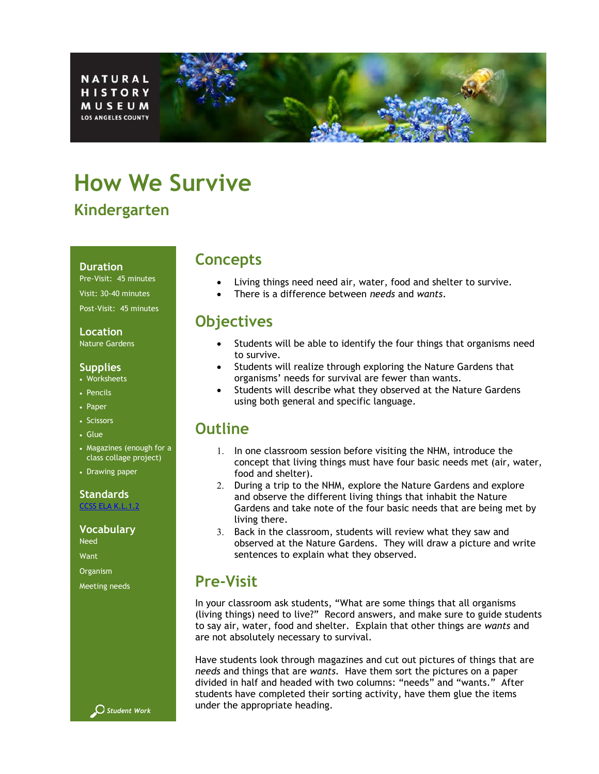NATURAL **HISTORY MUSEUM LOS ANGELES COUNTY** 

# **How We Survive Kindergarten**

#### **Duration**

Pre-Visit: 45 minutes Visit: 30-40 minutes Post-Visit: 45 minutes

### **Location**

Nature Gardens

### **Supplies**

- Worksheets
- Pencils
- Paper
- Scissors
- Glue
- Magazines (enough for a class collage project)
- Drawing paper

### **Standards**

[CCSS ELA K.L.1.2](http://www.cde.ca.gov/be/st/ss/documents/finalelaccssstandards.pdf)

#### **Vocabulary**

Need

Want

Organism

Meeting needs



### **Concepts**

- Living things need need air, water, food and shelter to survive.
- There is a difference between *needs* and *wants*.

# **Objectives**

- Students will be able to identify the four things that organisms need to survive.
- Students will realize through exploring the Nature Gardens that organisms' needs for survival are fewer than wants.
- Students will describe what they observed at the Nature Gardens using both general and specific language.

# **Outline**

- 1. In one classroom session before visiting the NHM, introduce the concept that living things must have four basic needs met (air, water, food and shelter).
- 2. During a trip to the NHM, explore the Nature Gardens and explore and observe the different living things that inhabit the Nature Gardens and take note of the four basic needs that are being met by living there.
- 3. Back in the classroom, students will review what they saw and observed at the Nature Gardens. They will draw a picture and write sentences to explain what they observed.

# **Pre-Visit**

In your classroom ask students, "What are some things that all organisms (living things) need to live?" Record answers, and make sure to guide students to say air, water, food and shelter. Explain that other things are *wants* and are not absolutely necessary to survival.

Have students look through magazines and cut out pictures of things that are *needs* and things that are *wants.* Have them sort the pictures on a paper divided in half and headed with two columns: "needs" and "wants." After students have completed their sorting activity, have them glue the items under the appropriate heading.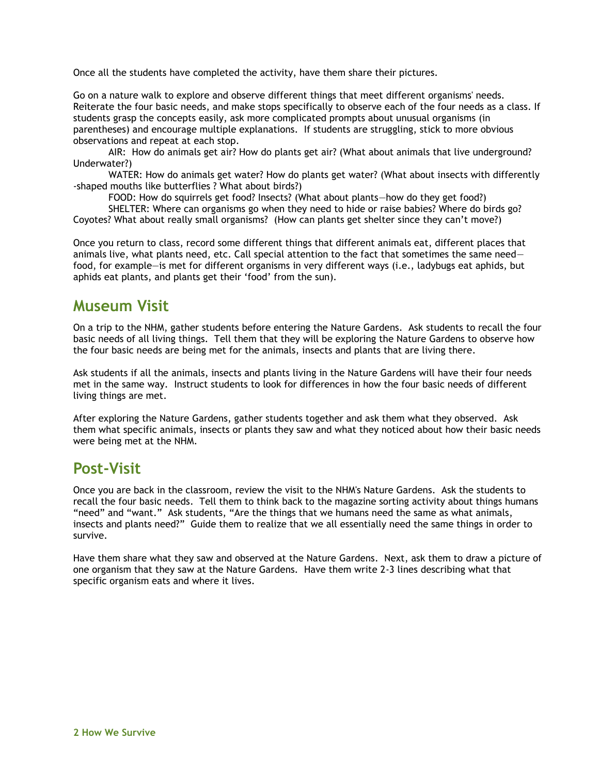Once all the students have completed the activity, have them share their pictures.

Go on a nature walk to explore and observe different things that meet different organisms' needs. Reiterate the four basic needs, and make stops specifically to observe each of the four needs as a class. If students grasp the concepts easily, ask more complicated prompts about unusual organisms (in parentheses) and encourage multiple explanations. If students are struggling, stick to more obvious observations and repeat at each stop.

AIR: How do animals get air? How do plants get air? (What about animals that live underground? Underwater?)

WATER: How do animals get water? How do plants get water? (What about insects with differently -shaped mouths like butterflies ? What about birds?)

FOOD: How do squirrels get food? Insects? (What about plants—how do they get food?)

SHELTER: Where can organisms go when they need to hide or raise babies? Where do birds go? Coyotes? What about really small organisms? (How can plants get shelter since they can't move?)

Once you return to class, record some different things that different animals eat, different places that animals live, what plants need, etc. Call special attention to the fact that sometimes the same need food, for example—is met for different organisms in very different ways (i.e., ladybugs eat aphids, but aphids eat plants, and plants get their 'food' from the sun).

# **Museum Visit**

On a trip to the NHM, gather students before entering the Nature Gardens. Ask students to recall the four basic needs of all living things. Tell them that they will be exploring the Nature Gardens to observe how the four basic needs are being met for the animals, insects and plants that are living there.

Ask students if all the animals, insects and plants living in the Nature Gardens will have their four needs met in the same way. Instruct students to look for differences in how the four basic needs of different living things are met.

After exploring the Nature Gardens, gather students together and ask them what they observed. Ask them what specific animals, insects or plants they saw and what they noticed about how their basic needs were being met at the NHM.

# **Post-Visit**

Once you are back in the classroom, review the visit to the NHM's Nature Gardens. Ask the students to recall the four basic needs. Tell them to think back to the magazine sorting activity about things humans "need" and "want." Ask students, "Are the things that we humans need the same as what animals, insects and plants need?" Guide them to realize that we all essentially need the same things in order to survive.

Have them share what they saw and observed at the Nature Gardens. Next, ask them to draw a picture of one organism that they saw at the Nature Gardens. Have them write 2-3 lines describing what that specific organism eats and where it lives.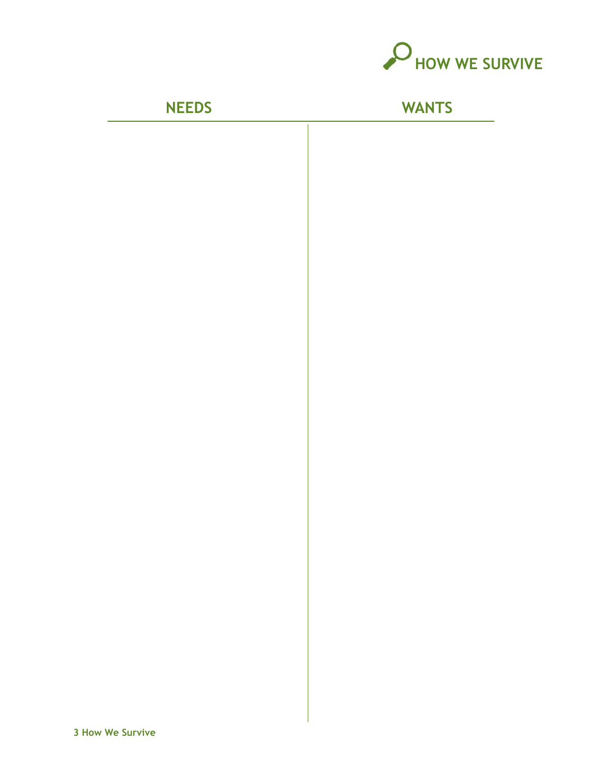

**NEEDS WANTS**